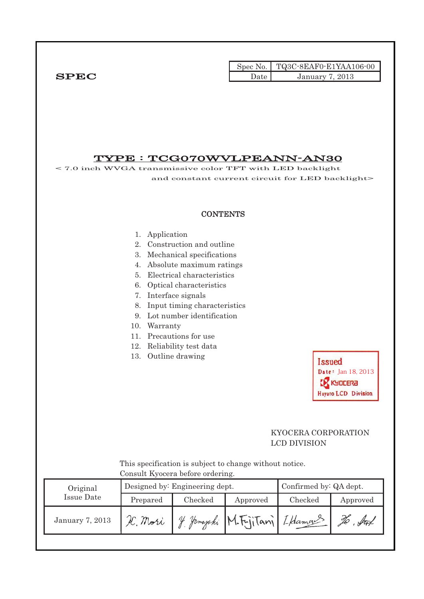|        | Spec No. TQ3C-8EAF0-E1YAA106-00 |
|--------|---------------------------------|
| Date - | January 7, 2013                 |

# VDE : TCCO70WVI PEANN-AN30

| < 7.0 inch WVGA transmissive color TFT with LED backlight |                                                                                                                                                                                                                                                                                                                                                                                      |                                  | <u> 1 YPE - ICGO7OW VLPEANN-AN30</u>                    |                                            |                     |
|-----------------------------------------------------------|--------------------------------------------------------------------------------------------------------------------------------------------------------------------------------------------------------------------------------------------------------------------------------------------------------------------------------------------------------------------------------------|----------------------------------|---------------------------------------------------------|--------------------------------------------|---------------------|
|                                                           |                                                                                                                                                                                                                                                                                                                                                                                      |                                  | and constant current circuit for LED backlight>         |                                            |                     |
|                                                           |                                                                                                                                                                                                                                                                                                                                                                                      | <b>CONTENTS</b>                  |                                                         |                                            |                     |
|                                                           | 1. Application<br>Construction and outline<br>2.<br>3. Mechanical specifications<br>4. Absolute maximum ratings<br>Electrical characteristics<br>5.<br>6. Optical characteristics<br>Interface signals<br>7.<br>Input timing characteristics<br>8.<br>9. Lot number identification<br>Warranty<br>10.<br>11. Precautions for use<br>12. Reliability test data<br>13. Outline drawing |                                  | Issued<br>Date: Jan 18, 2013<br>(YOCERa                 |                                            |                     |
|                                                           |                                                                                                                                                                                                                                                                                                                                                                                      | Consult Kyocera before ordering. | This specification is subject to change without notice. | KYOCERA CORPORATION<br><b>LCD DIVISION</b> | Hayato LCD Division |
| Original                                                  |                                                                                                                                                                                                                                                                                                                                                                                      | Designed by: Engineering dept.   |                                                         | Confirmed by: QA dept.                     |                     |
| <b>Issue Date</b>                                         | Prepared                                                                                                                                                                                                                                                                                                                                                                             | Checked                          | Approved                                                | Checked                                    | Approved            |
| <b>January 7, 2013</b>                                    | H. Mori                                                                                                                                                                                                                                                                                                                                                                              |                                  | Je Jamajaki M. Fujitani                                 | I Hamans                                   | to but              |
|                                                           |                                                                                                                                                                                                                                                                                                                                                                                      |                                  |                                                         |                                            |                     |
|                                                           |                                                                                                                                                                                                                                                                                                                                                                                      |                                  |                                                         |                                            |                     |
|                                                           |                                                                                                                                                                                                                                                                                                                                                                                      |                                  |                                                         |                                            |                     |

 $SPEC$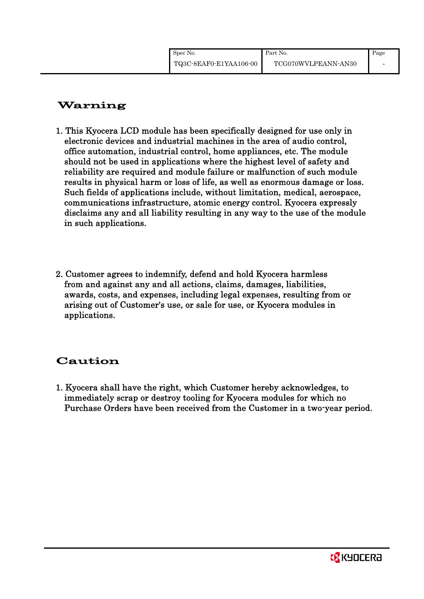| Spec No.               | Part No.            | Page |
|------------------------|---------------------|------|
| TQ3C-8EAF0-E1YAA106-00 | TCG070WVLPEANN-AN30 |      |

# Warning

- 1. This Kyocera LCD module has been specifically designed for use only in electronic devices and industrial machines in the area of audio control, office automation, industrial control, home appliances, etc. The module should not be used in applications where the highest level of safety and reliability are required and module failure or malfunction of such module results in physical harm or loss of life, as well as enormous damage or loss. Such fields of applications include, without limitation, medical, aerospace, communications infrastructure, atomic energy control. Kyocera expressly disclaims any and all liability resulting in any way to the use of the module in such applications.
- 2. Customer agrees to indemnify, defend and hold Kyocera harmless from and against any and all actions, claims, damages, liabilities, awards, costs, and expenses, including legal expenses, resulting from or arising out of Customer's use, or sale for use, or Kyocera modules in applications.

# Caution

1. Kyocera shall have the right, which Customer hereby acknowledges, to immediately scrap or destroy tooling for Kyocera modules for which no Purchase Orders have been received from the Customer in a two-year period.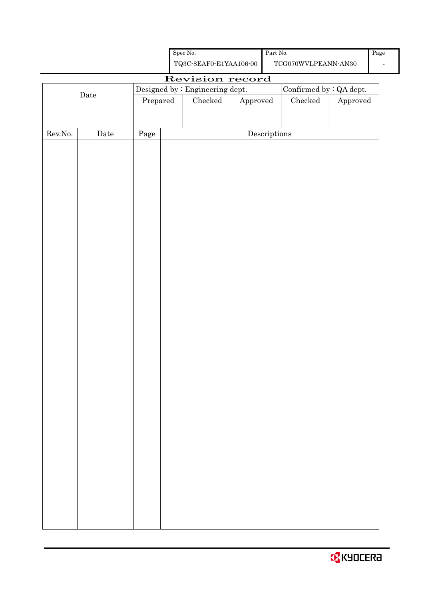| <b>B</b> KYOCERA |
|------------------|
|------------------|

|                  |             |                                 |  | TQ3C-8EAF0-E1YAA106-00 |                                      | TCG070WVLPEANN-AN30 |          |
|------------------|-------------|---------------------------------|--|------------------------|--------------------------------------|---------------------|----------|
|                  |             |                                 |  | Revision record        |                                      |                     |          |
| $\rm{Date}$      |             | Designed by : Engineering dept. |  |                        | Confirmed by $\colon$ QA dept.       |                     |          |
|                  |             | Prepared                        |  | $\rm Checked$          | Approved                             | $\rm Checked$       | Approved |
|                  |             |                                 |  |                        |                                      |                     |          |
| ${\rm Rev. No.}$ | $\rm{Date}$ |                                 |  |                        | $\label{eq:2} \textbf{Descriptions}$ |                     |          |
|                  |             | Page                            |  |                        |                                      |                     |          |
|                  |             |                                 |  |                        |                                      |                     |          |
|                  |             |                                 |  |                        |                                      |                     |          |
|                  |             |                                 |  |                        |                                      |                     |          |
|                  |             |                                 |  |                        |                                      |                     |          |
|                  |             |                                 |  |                        |                                      |                     |          |
|                  |             |                                 |  |                        |                                      |                     |          |
|                  |             |                                 |  |                        |                                      |                     |          |
|                  |             |                                 |  |                        |                                      |                     |          |
|                  |             |                                 |  |                        |                                      |                     |          |
|                  |             |                                 |  |                        |                                      |                     |          |
|                  |             |                                 |  |                        |                                      |                     |          |
|                  |             |                                 |  |                        |                                      |                     |          |
|                  |             |                                 |  |                        |                                      |                     |          |
|                  |             |                                 |  |                        |                                      |                     |          |
|                  |             |                                 |  |                        |                                      |                     |          |
|                  |             |                                 |  |                        |                                      |                     |          |
|                  |             |                                 |  |                        |                                      |                     |          |
|                  |             |                                 |  |                        |                                      |                     |          |
|                  |             |                                 |  |                        |                                      |                     |          |
|                  |             |                                 |  |                        |                                      |                     |          |
|                  |             |                                 |  |                        |                                      |                     |          |
|                  |             |                                 |  |                        |                                      |                     |          |
|                  |             |                                 |  |                        |                                      |                     |          |
|                  |             |                                 |  |                        |                                      |                     |          |
|                  |             |                                 |  |                        |                                      |                     |          |
|                  |             |                                 |  |                        |                                      |                     |          |
|                  |             |                                 |  |                        |                                      |                     |          |
|                  |             |                                 |  |                        |                                      |                     |          |
|                  |             |                                 |  |                        |                                      |                     |          |
|                  |             |                                 |  |                        |                                      |                     |          |
|                  |             |                                 |  |                        |                                      |                     |          |
|                  |             |                                 |  |                        |                                      |                     |          |
|                  |             |                                 |  |                        |                                      |                     |          |

Spec No.

Part No.

Page -

П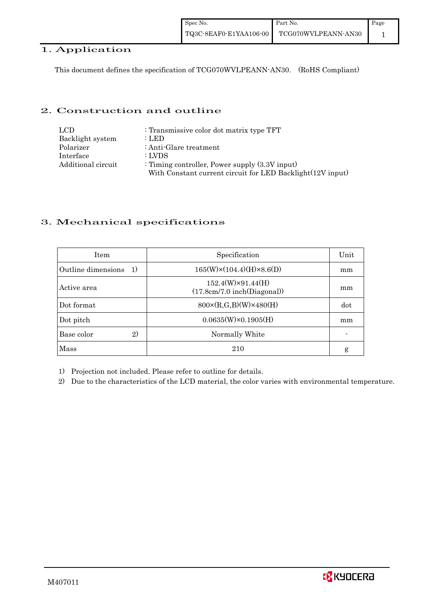| Spec No.               | Part No.            | Page |
|------------------------|---------------------|------|
| TQ3C-8EAF0-E1YAA106-00 | TCG070WVLPEANN-AN30 |      |

# 1. Application

This document defines the specification of TCG070WVLPEANN-AN30. (RoHS Compliant)

### 2. Construction and outline

| LCD.               | : Transmissive color dot matrix type TFT                   |
|--------------------|------------------------------------------------------------|
| Backlight system   | : LED                                                      |
| Polarizer          | : Anti-Glare treatment                                     |
| Interface          | : LVDS                                                     |
| Additional circuit | : Timing controller, Power supply $(3.3V)$ input)          |
|                    | With Constant current circuit for LED Backlight(12V input) |

## 3. Mechanical specifications

| <b>Item</b>                        | Specification                                           | Unit |
|------------------------------------|---------------------------------------------------------|------|
| Outline dimensions<br><sup>1</sup> | $165(W)\times(104.4)(H)\times8.6(D)$                    | mm   |
| Active area                        | $152.4(W)\times91.44(H)$<br>(17.8cm/7.0 inch(Diagonal)) | mm   |
| Dot format                         | $800 \times (R, G, B)(W) \times 480(H)$                 | dot  |
| Dot pitch                          | $0.0635(W)\times0.1905(H)$                              | mm   |
| 2)<br>Base color                   | Normally White                                          |      |
| Mass                               | 210                                                     | g    |

1) Projection not included. Please refer to outline for details.

2) Due to the characteristics of the LCD material, the color varies with environmental temperature.

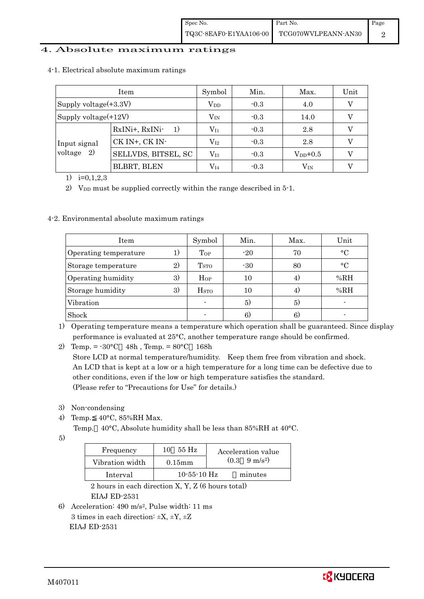## 4. Absolute maximum ratings

|                              | Item                                                               | Symbol           | Min.   | Max.         | Unit |
|------------------------------|--------------------------------------------------------------------|------------------|--------|--------------|------|
| Supply voltage $(+3.3V)$     |                                                                    | $\rm V_{DD}$     | $-0.3$ | 4.0          |      |
| Supply voltage(+12V)         |                                                                    | $\rm V_{\rm IN}$ | $-0.3$ | 14.0         |      |
| Input signal<br>voltage $2)$ | RxINi+, RxINi-<br>$\left( \begin{array}{c} -1 \end{array} \right)$ | $\rm V_{I1}$     | $-0.3$ | 2.8          |      |
|                              | CK IN+, CK IN-                                                     | $\rm V_{12}$     | $-0.3$ | 2.8          |      |
|                              | SELLVDS, BITSEL, SC                                                | $\rm V_{I3}$     | $-0.3$ | $V_{DD}+0.5$ |      |
|                              | <b>BLBRT, BLEN</b>                                                 | $\rm V_{I4}$     | $-0.3$ | $\rm V_{IN}$ |      |

4-1. Electrical absolute maximum ratings

1)  $i=0,1,2,3$ 

2) V<sub>DD</sub> must be supplied correctly within the range described in  $5$ -1.

#### 4-2. Environmental absolute maximum ratings

| Item                  |    | Symbol                  | Min.  | Max. | Unit      |
|-----------------------|----|-------------------------|-------|------|-----------|
| Operating temperature |    | Top                     | $-20$ | 70   | $\circ$ C |
| Storage temperature   | 2) | T <sub>STO</sub>        | $-30$ | 80   | $\circ$ C |
| Operating humidity    | 3) | $H_{OP}$                | 10    | 4)   | %RH       |
| Storage humidity      | 3) | <b>H</b> <sub>sto</sub> | 10    | 4)   | %RH       |
| Vibration             |    |                         | 5)    | 5)   |           |
| Shock                 |    |                         | 6)    | 6)   |           |

1) Operating temperature means a temperature which operation shall be guaranteed. Since display performance is evaluated at 25°C, another temperature range should be confirmed.

2) Temp. =  $-30^{\circ}$ C 48h, Temp. =  $80^{\circ}$ C 168h Store LCD at normal temperature/humidity. Keep them free from vibration and shock. An LCD that is kept at a low or a high temperature for a long time can be defective due to other conditions, even if the low or high temperature satisfies the standard. (Please refer to "Precautions for Use" for details.)

- 3) Non-condensing
- 4) Temp. 40°C, 85%RH Max.
	- Temp. 40°C, Absolute humidity shall be less than 85%RH at 40°C.
- 5)

| Frequency       | 55 Hz<br>10       | Acceleration value            |
|-----------------|-------------------|-------------------------------|
| Vibration width | $0.15$ m m        | $(0.3 \quad 9 \text{ m/s}^2)$ |
| Interval        | $10 - 55 - 10$ Hz | minutes                       |

 2 hours in each direction X, Y, Z (6 hours total) EIAJ ED-2531

6) Acceleration: 490 m/s2, Pulse width: 11 ms 3 times in each direction:  $\pm X$ ,  $\pm Y$ ,  $\pm Z$ EIAJ ED-2531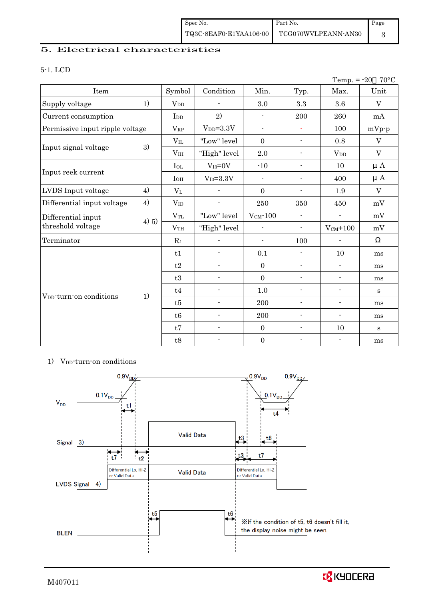## 5. Electrical characteristics

#### 5-1. LCD

|                                     |          |                 |                          |                          |                          | Temp. $= -20$            | $70^{\circ}$ C |
|-------------------------------------|----------|-----------------|--------------------------|--------------------------|--------------------------|--------------------------|----------------|
| Item                                |          | Symbol          | Condition                | Min.                     | Typ.                     | Max.                     | Unit           |
| Supply voltage                      | 1)       | $V_{DD}$        |                          | 3.0                      | 3.3                      | 3.6                      | V              |
| Current consumption                 |          | I <sub>DD</sub> | 2)                       | $\blacksquare$           | 200                      | 260                      | mA             |
| Permissive input ripple voltage     |          | $V_{RP}$        | $V_{DD}=3.3V$            | $\overline{\phantom{a}}$ | $\blacksquare$           | 100                      | $mVp-p$        |
|                                     |          | $V_{IL}$        | "Low" level              | $\mathbf{0}$             | $\overline{\phantom{a}}$ | 0.8                      | $\mathbf V$    |
| Input signal voltage                | 3)       | V <sub>IH</sub> | "High" level             | 2.0                      | $\overline{\phantom{a}}$ | $V_{DD}$                 | $\rm V$        |
|                                     |          | $I_{OL}$        | $V_{I3}=0V$              | $-10$                    | $\overline{\phantom{a}}$ | 10                       | $\mu$ A        |
| Input reek current                  |          | $I_{OH}$        | $V_{I3} = 3.3V$          | $\overline{\phantom{0}}$ | $\overline{\phantom{a}}$ | 400                      | $\mu A$        |
| LVDS Input voltage                  | 4)       | $V_{L}$         |                          | $\mathbf{0}$             | $\overline{a}$           | 1.9                      | $\mathbf V$    |
| Differential input voltage          | 4)       | $V_{ID}$        |                          | 250                      | 350                      | 450                      | mV             |
| Differential input                  | $(4)$ 5) | $V_{TL}$        | "Low" level              | $V_{CM}$ -100            | $\blacksquare$           | $\overline{\phantom{a}}$ | mV             |
| threshold voltage                   |          | $\rm V_{TH}$    | "High" level             | $\blacksquare$           | $\overline{\phantom{a}}$ | $V_{CM}$ +100            | mV             |
| Terminator                          |          | $R_1$           | $\overline{a}$           | $\blacksquare$           | 100                      | $\overline{\phantom{a}}$ |                |
|                                     |          | t1              | $\overline{\phantom{0}}$ | 0.1                      | $\overline{\phantom{a}}$ | 10                       | ms             |
|                                     |          | t2              | $\overline{\phantom{a}}$ | $\mathbf{0}$             | $\overline{\phantom{a}}$ | $\overline{\phantom{a}}$ | ms             |
|                                     |          | t3              | $\overline{a}$           | $\mathbf{0}$             | $\blacksquare$           | $\blacksquare$           | ms             |
|                                     |          | t4              | $\overline{\phantom{a}}$ | $1.0\,$                  | $\blacksquare$           | $\overline{\phantom{a}}$ | S              |
| V <sub>DD</sub> -turn-on conditions | 1)       | t5              | $\overline{\phantom{0}}$ | 200                      | $\overline{\phantom{a}}$ | $\overline{\phantom{a}}$ | ms             |
|                                     |          | t6              | $\overline{\phantom{a}}$ | 200                      | $\overline{\phantom{a}}$ | $\overline{\phantom{a}}$ | ms             |
|                                     |          | t7              | $\overline{a}$           | $\mathbf{0}$             | $\blacksquare$           | 10                       | $\mathbf{s}$   |
|                                     |          | t8              | -                        | $\boldsymbol{0}$         | $\overline{\phantom{a}}$ | $\blacksquare$           | ms             |

### 1) V<sub>DD</sub>-turn-on conditions



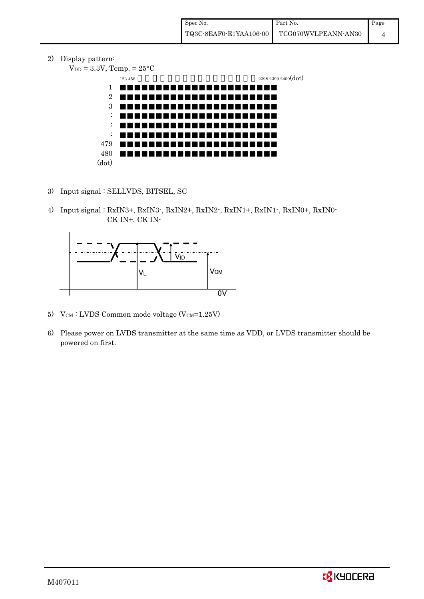2) Display pattern:

 $V_{DD} = 3.3V$ , Temp. =  $25^{\circ}$ C  $123\,456$   $2398\,2399\,2400(\text{dot})$ 1 2 3 : : : 479 480 (dot)

- 3) Input signal : SELLVDS, BITSEL, SC
- 4) Input signal : RxIN3+, RxIN3-, RxIN2+, RxIN2-, RxIN1+, RxIN1-, RxIN0+, RxIN0- CK IN+, CK IN-



- 5)  $V_{CM}$ : LVDS Common mode voltage (V $_{CM}$ =1.25V)
- 6) Please power on LVDS transmitter at the same time as VDD, or LVDS transmitter should be powered on first.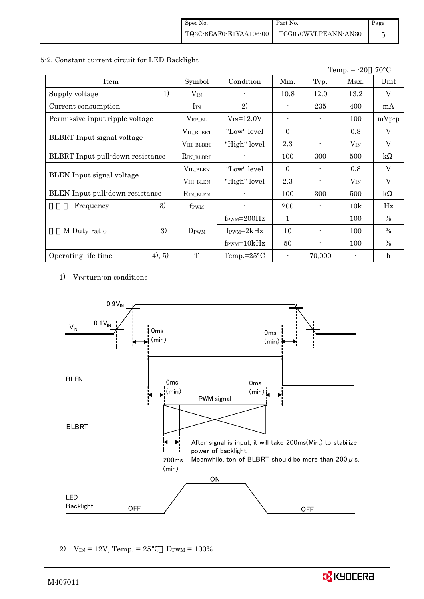### 5-2. Constant current circuit for LED Backlight

|                                         |                    |                               |                |                | Temp. $= -20$ | $70^{\circ}$ C          |
|-----------------------------------------|--------------------|-------------------------------|----------------|----------------|---------------|-------------------------|
| Item                                    | Symbol             | Condition                     | Min.           | Typ.           | Max.          | Unit                    |
| 1)<br>Supply voltage                    | $\rm V_{IN}$       |                               | 10.8           | 12.0           | 13.2          | V                       |
| Current consumption                     | $I_{IN}$           | 2)                            |                | 235            | 400           | mA                      |
| Permissive input ripple voltage         | $V_{RP\_BL}$       | $V_{IN} = 12.0V$              | $\blacksquare$ | $\blacksquare$ | 100           | $mVp-p$                 |
|                                         | VIL_BLBRT          | "Low" level                   | $\Omega$       |                | 0.8           | V                       |
| <b>BLBRT</b> Input signal voltage       | VIH_BLBRT          | "High" level                  | 2.3            |                | $V_{IN}$      | V                       |
| <b>BLBRT</b> Input pull-down resistance | $R_{IN\_BLBRT}$    |                               | 100            | 300            | 500           | $\mathbf{k}$            |
|                                         | $V_{\rm IL\_BLEN}$ | "Low" level                   | $\Omega$       |                | 0.8           | $\mathbf V$             |
| BLEN Input signal voltage               | VIH_BLEN           | "High" level                  | 2.3            |                | $V_{IN}$      | $\overline{\mathbf{V}}$ |
| BLEN Input pull-down resistance         | $R_{IN\_BLEN}$     |                               | 100            | 300            | 500           | $\mathbf{k}$            |
| 3)<br>Frequency                         | f <sub>PWM</sub>   |                               | <b>200</b>     |                | 10k           | Hz                      |
|                                         |                    | $f_{\text{PWM}}=200\text{Hz}$ | $\mathbf{1}$   |                | 100           | $\%$                    |
| 3)<br>M Duty ratio                      | DPWM               | $f_{\text{PWM}}=2kHz$         | 10             | $\blacksquare$ | 100           | $\%$                    |
|                                         |                    | $f_{\text{PWM}} = 10kHz$      | 50             |                | 100           | $\%$                    |
| (4), 5)<br>Operating life time          | $\mathbf{T}$       | Temp.= $25^{\circ}$ C         |                | 70,000         |               | $\mathbf h$             |

1) VIN-turn-on conditions



2)  $V_{IN} = 12V$ , Temp. = 25  $D_{PWM} = 100\%$ 

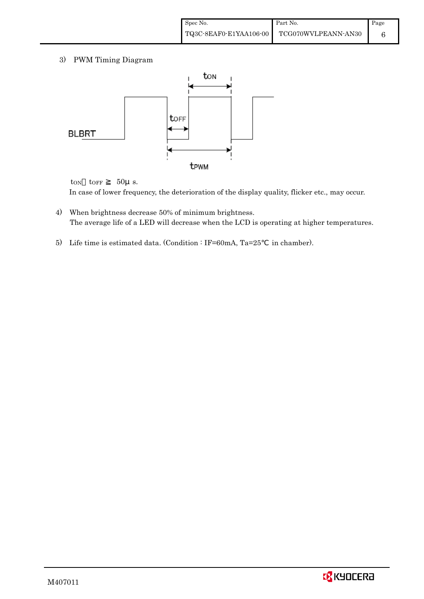3) PWM Timing Diagram



 $t_{ON}$   $t_{OFF}$  50 $\mu$  s. In case of lower frequency, the deterioration of the display quality, flicker etc., may occur.

- 4) When brightness decrease 50% of minimum brightness. The average life of a LED will decrease when the LCD is operating at higher temperatures.
- 5) Life time is estimated data. (Condition : IF=60mA, Ta=25 in chamber).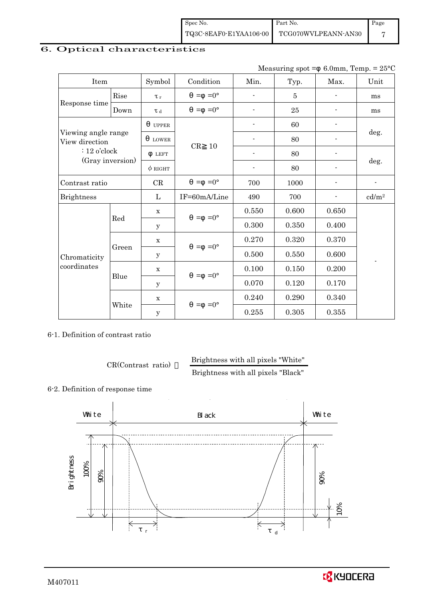| Spec No. | Part No.                                   | Page |
|----------|--------------------------------------------|------|
|          | TQ3C-8EAF0-E1YAA106-00 TCG070WVLPEANN-AN30 |      |

# 6. Optical characteristics

Measuring spot =  $6.0$ mm, Temp. =  $25^{\circ}$ C

| Item                                  |       | Symbol              | Condition           | Min.                     | Typ.           | Max.                     | Unit              |
|---------------------------------------|-------|---------------------|---------------------|--------------------------|----------------|--------------------------|-------------------|
|                                       | Rise  | $\tau$              | $=0^{\circ}$<br>$=$ | $\blacksquare$           | $\overline{5}$ |                          | ms                |
| Response time                         | Down  | $\tau$ <sub>d</sub> | $=0^{\circ}$<br>$=$ | $\overline{\phantom{a}}$ | 25             | $\overline{a}$           | ms                |
| Viewing angle range<br>View direction |       | <b>UPPER</b>        |                     | $\overline{a}$           | 60             |                          |                   |
|                                       |       | <b>LOWER</b>        |                     | $\overline{a}$           | 80             |                          | deg.              |
| $: 12$ o'clock                        |       | <b>LEFT</b>         | CR<br>10            | $\blacksquare$           | 80             | $\overline{\phantom{0}}$ |                   |
| (Gray inversion)                      |       | $\phi$ right        |                     | $\overline{\phantom{a}}$ | 80             | -                        | deg.              |
| Contrast ratio                        |       | CR                  | $=0^{\circ}$<br>$=$ | 700                      | 1000           |                          | $\blacksquare$    |
| <b>Brightness</b>                     |       | L                   | IF=60mA/Line        | 490                      | 700            |                          | cd/m <sup>2</sup> |
|                                       | Red   | $\mathbf X$         | $=$ =0 $^{\circ}$   | 0.550                    | 0.600          | 0.650                    |                   |
|                                       |       | У                   |                     | 0.300                    | 0.350          | 0.400                    |                   |
|                                       |       | $\mathbf X$         | $=0^{\circ}$<br>$=$ | 0.270                    | 0.320          | 0.370                    |                   |
| Chromaticity                          | Green | У                   |                     | 0.500                    | 0.550          | 0.600                    | $\overline{a}$    |
| coordinates                           |       | $\mathbf x$         | $=0^{\circ}$<br>$=$ | 0.100                    | 0.150          | 0.200                    |                   |
|                                       | Blue  | y                   |                     | 0.070                    | 0.120          | 0.170                    |                   |
|                                       |       | $\mathbf X$         |                     | 0.240                    | 0.290          | 0.340                    |                   |
|                                       | White | $\mathbf y$         | $=0^{\circ}$<br>$=$ | 0.255                    | 0.305          | 0.355                    |                   |

6-1. Definition of contrast ratio

CR(Contrast ratio) Brightness with all pixels "White"

Brightness with all pixels "Black"

### 6-2. Definition of response time



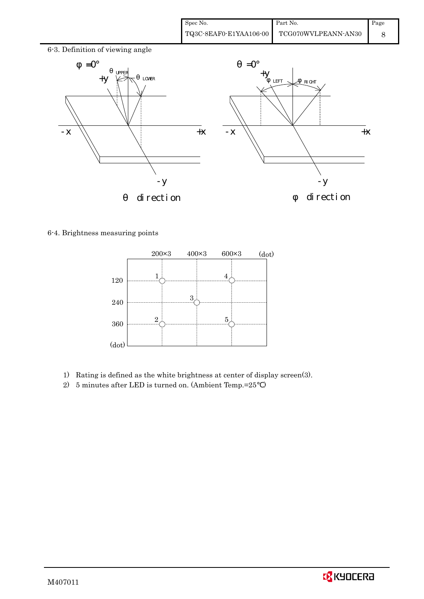| Spec No. | Part No.                                   | $\blacksquare$ Page |
|----------|--------------------------------------------|---------------------|
|          | TQ3C-8EAF0-E1YAA106-00 TCG070WVLPEANN-AN30 |                     |



### 6-4. Brightness measuring points



- 1) Rating is defined as the white brightness at center of display screen(3).
- 2) 5 minutes after LED is turned on. (Ambient Temp.=25 )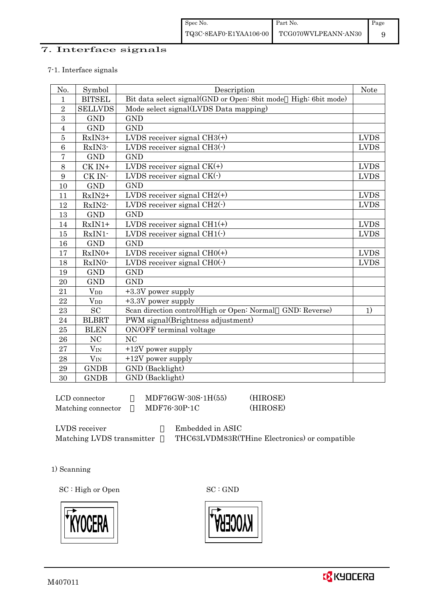## 7. Interface signals

#### 7-1. Interface signals

| No.            | Symbol                 | Description                                                    | Note        |
|----------------|------------------------|----------------------------------------------------------------|-------------|
| $\mathbf{1}$   | <b>BITSEL</b>          | Bit data select signal(GND or Open: 8bit mode High: 6bit mode) |             |
| $\overline{2}$ | <b>SELLVDS</b>         | Mode select signal(LVDS Data mapping)                          |             |
| 3              | <b>GND</b>             | <b>GND</b>                                                     |             |
| $\overline{4}$ | <b>GND</b>             | <b>GND</b>                                                     |             |
| $\overline{5}$ | RxIN3+                 | LVDS receiver signal $CH3(+)$                                  | <b>LVDS</b> |
| 6              | RxIN3-                 | LVDS receiver signal $CH3(\cdot)$                              | <b>LVDS</b> |
| $\overline{7}$ | <b>GND</b>             | <b>GND</b>                                                     |             |
| 8              | CK IN+                 | LVDS receiver signal $CK(+)$                                   | <b>LVDS</b> |
| 9              | CK IN-                 | LVDS receiver signal $CK(\cdot)$                               | <b>LVDS</b> |
| 10             | <b>GND</b>             | <b>GND</b>                                                     |             |
| 11             | $RxIN2+$               | LVDS receiver signal $CH2(+)$                                  | <b>LVDS</b> |
| 12             | RxIN2-                 | LVDS receiver signal $CH2(\cdot)$                              | <b>LVDS</b> |
| 13             | <b>GND</b>             | <b>GND</b>                                                     |             |
| 14             | $RxIN1+$               | LVDS receiver signal $CH1(+)$                                  | <b>LVDS</b> |
| 15             | RxIN1-                 | LVDS receiver signal $CH1(\cdot)$                              | <b>LVDS</b> |
| 16             | <b>GND</b>             | <b>GND</b>                                                     |             |
| 17             | RxIN0+                 | LVDS receiver signal $CHO(+)$                                  | <b>LVDS</b> |
| 18             | RxIN0-                 | LVDS receiver signal $CHO(·)$                                  | <b>LVDS</b> |
| 19             | <b>GND</b>             | <b>GND</b>                                                     |             |
| 20             | <b>GND</b>             | <b>GND</b>                                                     |             |
| 21             | <b>V</b> <sub>DD</sub> | +3.3V power supply                                             |             |
| 22             | <b>V</b> <sub>DD</sub> | $+3.3V$ power supply                                           |             |
| 23             | <b>SC</b>              | Scan direction control(High or Open: Normal<br>GND: Reverse)   | 1)          |
| 24             | <b>BLBRT</b>           | PWM signal(Brightness adjustment)                              |             |
| 25             | <b>BLEN</b>            | ON/OFF terminal voltage                                        |             |
| 26             | NC                     | <b>NC</b>                                                      |             |
| 27             | $V_{IN}$               | $+12V$ power supply                                            |             |
| 28             | $V_{IN}$               | $+12V$ power supply                                            |             |
| 29             | <b>GNDB</b>            | GND (Backlight)                                                |             |
| 30             | <b>GNDB</b>            | GND (Backlight)                                                |             |

 $LCD$  connector  $MDF76GW-30S-1H(55)$  (HIROSE) Matching connector  $MDF76-30P-1C$  (HIROSE)

LVDS receiver : Embedded in ASIC

Matching LVDS transmitter THC63LVDM83R(THine Electronics) or compatible

1) Scanning

SC : High or Open SC : GND



![](_page_11_Picture_11.jpeg)

![](_page_11_Picture_12.jpeg)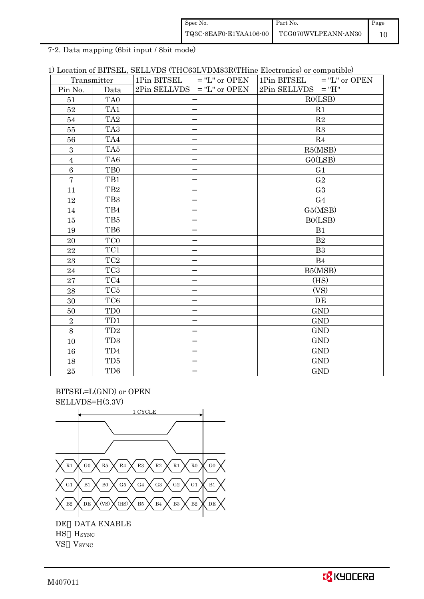| Spec No.               | Part No.            | Page |
|------------------------|---------------------|------|
| TQ3C-8EAF0-E1YAA106-00 | TCG070WVLPEANN-AN30 |      |

7-2. Data mapping (6bit input / 8bit mode)

| 1) Location of BITSEL, SELLVDS (THC63LVDM83R(THine Electronics) or compatible) |
|--------------------------------------------------------------------------------|
|--------------------------------------------------------------------------------|

|                | Transmitter                 | 1Pin BITSEL<br>$=$ "L" or OPEN | $=$ "L" or OPEN<br>1Pin BITSEL |
|----------------|-----------------------------|--------------------------------|--------------------------------|
| Pin No.        | Data                        | $2Pin$ SELLVDS = "L" or OPEN   | $2Pin$ SELLVDS = "H"           |
| 51             | TA <sub>0</sub>             |                                | RO(LSB)                        |
| 52             | TA1                         |                                | R1                             |
| 54             | TA <sub>2</sub>             |                                | R2                             |
| $55\,$         | TA <sub>3</sub>             |                                | R3                             |
| 56             | TA4                         |                                | R <sub>4</sub>                 |
| $\mathbf{3}$   | TA5                         |                                | R5(MSB)                        |
| $\sqrt{4}$     | TA6                         |                                | GO(LSB)                        |
| 6              | TB <sub>0</sub>             |                                | G1                             |
| $\overline{7}$ | TB1                         |                                | G <sub>2</sub>                 |
| 11             | TB <sub>2</sub>             |                                | G <sub>3</sub>                 |
| 12             | TB <sub>3</sub>             |                                | G <sub>4</sub>                 |
| 14             | TB4                         |                                | G5(MSB)                        |
| 15             | TB5                         |                                | BO(LSB)                        |
| 19             | TB6                         |                                | B1                             |
| 20             | TC <sub>0</sub>             |                                | B <sub>2</sub>                 |
| 22             | TC1                         |                                | B <sub>3</sub>                 |
| 23             | TC2                         |                                | B <sub>4</sub>                 |
| 24             | TC <sub>3</sub>             |                                | B5(MSB)                        |
| 27             | TC4                         |                                | (HS)                           |
| 28             | TC5                         |                                | (VS)                           |
| 30             | TC <sub>6</sub>             |                                | DE                             |
| 50             | T <sub>D</sub> <sub>0</sub> |                                | <b>GND</b>                     |
| $\sqrt{2}$     | TD1                         |                                | <b>GND</b>                     |
| $8\,$          | TD <sub>2</sub>             |                                | <b>GND</b>                     |
| 10             | TD <sub>3</sub>             |                                | <b>GND</b>                     |
| 16             | TD4                         |                                | <b>GND</b>                     |
| 18             | TD <sub>5</sub>             |                                | <b>GND</b>                     |
| $25\,$         | TD <sub>6</sub>             |                                | <b>GND</b>                     |

 BITSEL=L(GND) or OPEN SELLVDS=H(3.3V)

![](_page_12_Figure_5.jpeg)

VS VSYNC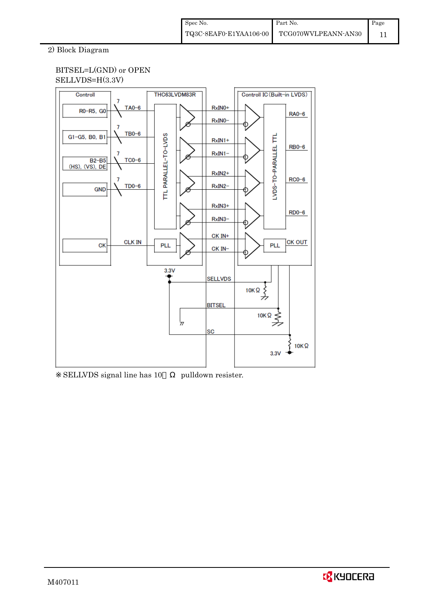## 2) Block Diagram

## BITSEL=L(GND) or OPEN SELLVDS=H(3.3V)

![](_page_13_Figure_3.jpeg)

SELLVDS signal line has 10 pulldown resister.

![](_page_13_Picture_6.jpeg)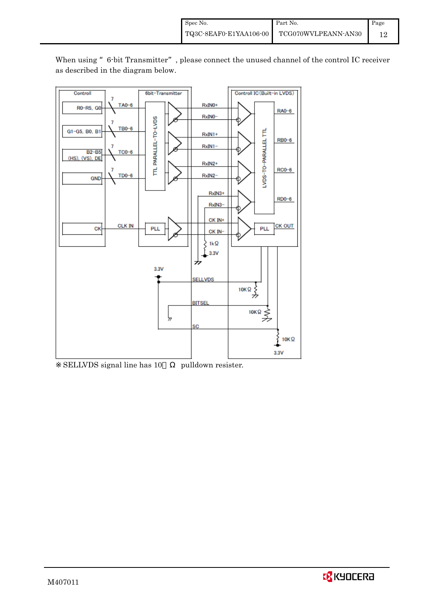![](_page_14_Figure_1.jpeg)

When using "6-bit Transmitter", please connect the unused channel of the control IC receiver as described in the diagram below.

SELLVDS signal line has 10 pulldown resister.

![](_page_14_Picture_4.jpeg)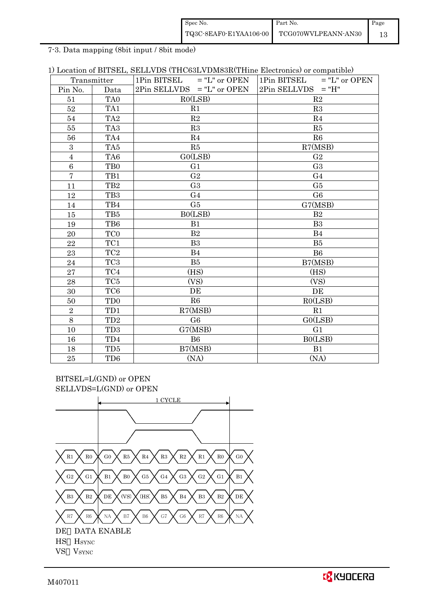| Spec No.               | Part No.            | Page |
|------------------------|---------------------|------|
| TQ3C-8EAF0-E1YAA106-00 | TCG070WVLPEANN-AN30 |      |

7-3. Data mapping (8bit input / 8bit mode)

| 1) Location of BITSEL, SELLVDS (THC63LVDM83R(THine Electronics) or compatible) |  |
|--------------------------------------------------------------------------------|--|
|--------------------------------------------------------------------------------|--|

|                | Transmitter     | $1\text{Pin BITSEL}$ = "L" or OPEN | $1\text{Pin BITSEL}$ = "L" or OPEN |
|----------------|-----------------|------------------------------------|------------------------------------|
| Pin No.        | Data            | $2Pin$ SELLVDS = "L" or OPEN       | $2Pin$ SELLVDS = "H"               |
| 51             | TA <sub>0</sub> | RO(LSB)                            | R2                                 |
| 52             | TA1             | R1                                 | R3                                 |
| 54             | TA <sub>2</sub> | R2                                 | R <sub>4</sub>                     |
| 55             | TA <sub>3</sub> | R3                                 | R5                                 |
| 56             | TA4             | R4                                 | R6                                 |
| $\mathbf{3}$   | TA5             | R5                                 | R7(MSB)                            |
| $\overline{4}$ | TA6             | GO(LSB)                            | G <sub>2</sub>                     |
| $\,6\,$        | T <sub>B0</sub> | G <sub>1</sub>                     | G <sub>3</sub>                     |
| $\overline{7}$ | TB1             | G <sub>2</sub>                     | G <sub>4</sub>                     |
| 11             | TB <sub>2</sub> | G <sub>3</sub>                     | G <sub>5</sub>                     |
| 12             | TB <sub>3</sub> | G <sub>4</sub>                     | G <sub>6</sub>                     |
| 14             | TB4             | G5                                 | G7(MSB)                            |
| 15             | TB5             | BO(LSB)                            | B <sub>2</sub>                     |
| 19             | TB6             | B1                                 | B <sub>3</sub>                     |
| 20             | TC <sub>0</sub> | B <sub>2</sub>                     | B <sub>4</sub>                     |
| 22             | TC1             | B <sub>3</sub>                     | B <sub>5</sub>                     |
| 23             | TC <sub>2</sub> | B4                                 | B <sub>6</sub>                     |
| 24             | TC <sub>3</sub> | B <sub>5</sub>                     | B7(MSB)                            |
| 27             | TC4             | (HS)                               | (HS)                               |
| 28             | TC5             | (VS)                               | (VS)                               |
| 30             | TC <sub>6</sub> | DE                                 | DE                                 |
| 50             | TD <sub>0</sub> | R6                                 | RO(LSB)                            |
| $\overline{2}$ | TD1             | R7(MSB)                            | R1                                 |
| 8              | TD <sub>2</sub> | G <sub>6</sub>                     | GO(LSB)                            |
| 10             | TD <sub>3</sub> | G7(MSB)                            | G <sub>1</sub>                     |
| 16             | TD4             | B6                                 | B0(LSB)                            |
| 18             | TD5             | B7(MSB)                            | B1                                 |
| 25             | TD <sub>6</sub> | (NA)                               | (NA)                               |

BITSEL=L(GND) or OPEN SELLVDS=L(GND) or OPEN

![](_page_15_Figure_5.jpeg)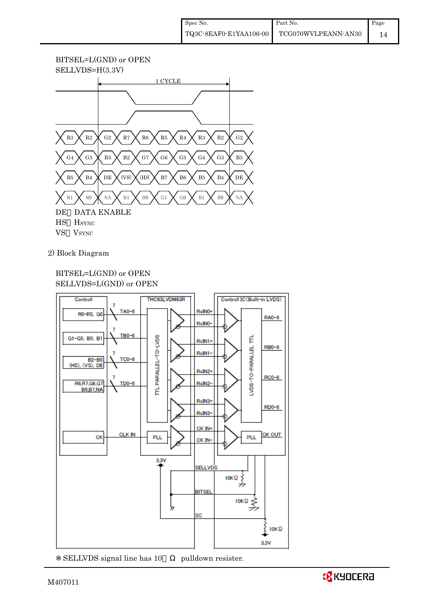## BITSEL=L(GND) or OPEN SELLVDS=H(3.3V)

![](_page_16_Figure_2.jpeg)

2) Block Diagram

## BITSEL=L(GND) or OPEN SELLVDS=L(GND) or OPEN

![](_page_16_Figure_5.jpeg)

![](_page_16_Picture_6.jpeg)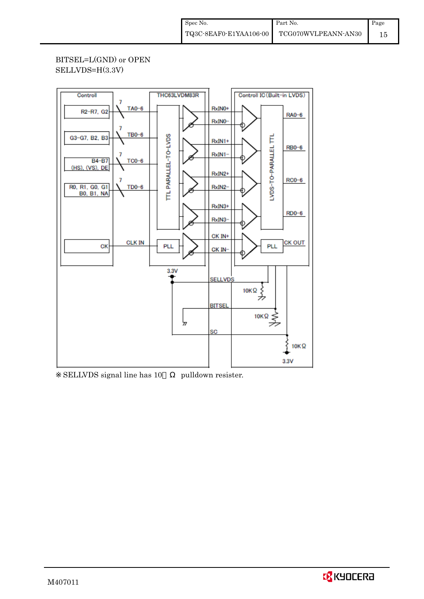## BITSEL=L(GND) or OPEN SELLVDS=H(3.3V)

![](_page_17_Figure_2.jpeg)

SELLVDS signal line has 10 pulldown resister.

![](_page_17_Picture_5.jpeg)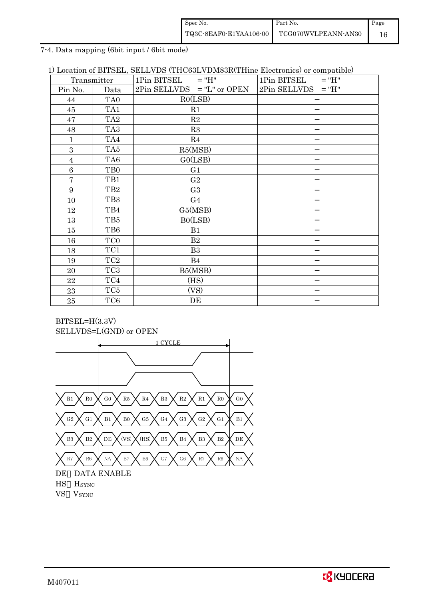| Spec No.               | Part No.            | Page |
|------------------------|---------------------|------|
| TQ3C-8EAF0-E1YAA106-00 | TCG070WVLPEANN-AN30 |      |

7-4. Data mapping (6bit input / 6bit mode)

| 1) Location of BITSEL, SELLVDS (THC63LVDM83R(THine Electronics) or compatible) |  |  |  |  |  |  |  |  |
|--------------------------------------------------------------------------------|--|--|--|--|--|--|--|--|
|--------------------------------------------------------------------------------|--|--|--|--|--|--|--|--|

|                | Transmitter     | $1Pin$ BITSEL = "H"          | 1Pin BITSEL<br>$=$ "H" |
|----------------|-----------------|------------------------------|------------------------|
| Pin No.        | Data            | $2Pin$ SELLVDS = "L" or OPEN | $2Pin$ SELLVDS = "H"   |
| 44             | TA <sub>0</sub> | RO(LSB)                      |                        |
| 45             | TA1             | R1                           |                        |
| 47             | TA <sub>2</sub> | R2                           |                        |
| 48             | TA <sub>3</sub> | R3                           |                        |
| $\mathbf{1}$   | TA4             | R4                           |                        |
| 3              | TA5             | R5(MSB)                      |                        |
| $\overline{4}$ | TA6             | GO(LSB)                      |                        |
| 6              | TB <sub>0</sub> | G1                           |                        |
| 7              | TB1             | G <sub>2</sub>               |                        |
| 9              | TB <sub>2</sub> | G <sub>3</sub>               |                        |
| 10             | TB <sub>3</sub> | G <sub>4</sub>               |                        |
| 12             | TB4             | G5(MSB)                      |                        |
| 13             | TB5             | B0(LSB)                      |                        |
| 15             | TB6             | B1                           |                        |
| 16             | TC <sub>0</sub> | B2                           |                        |
| 18             | TC1             | B <sub>3</sub>               |                        |
| 19             | TC <sub>2</sub> | B4                           |                        |
| 20             | TC <sub>3</sub> | B5(MSB)                      |                        |
| 22             | TC4             | (HS)                         |                        |
| 23             | TC <sub>5</sub> | (VS)                         |                        |
| 25             | TC6             | DE                           |                        |

![](_page_18_Figure_4.jpeg)

![](_page_18_Figure_5.jpeg)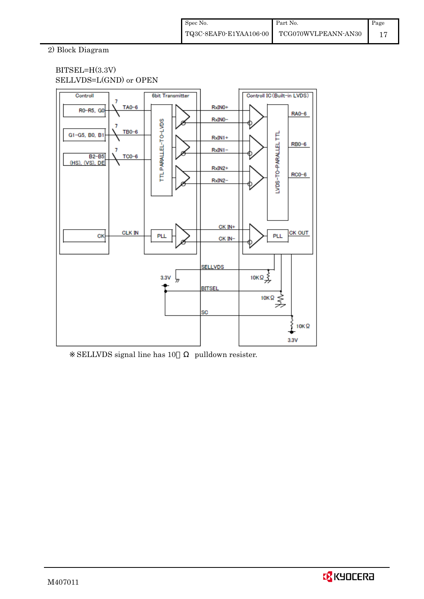## 2) Block Diagram

## BITSEL=H(3.3V) SELLVDS=L(GND) or OPEN

![](_page_19_Figure_3.jpeg)

SELLVDS signal line has 10 pulldown resister.

![](_page_19_Picture_5.jpeg)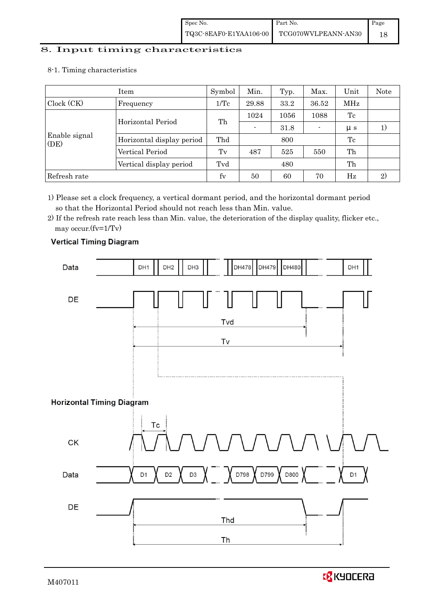# 8. Input timing characteristics  $\overline{\phantom{a}}$

## 8-1. Timing characteristics

|                       | Item                      | Symbol                          | Min.  | Typ. | Max.    | Unit        | Note |
|-----------------------|---------------------------|---------------------------------|-------|------|---------|-------------|------|
| Clock (CK)            | Frequency                 | 1/Tc                            | 29.88 | 33.2 | 36.52   | MHz         |      |
|                       |                           | 1024<br>Th<br>Horizontal Period |       | 1056 | 1088    | Tc          |      |
|                       |                           |                                 | 31.8  |      | $\mu$ s |             |      |
| Enable signal<br>(DE) | Horizontal display period | Thd                             |       | 800  |         | Tc          |      |
|                       | Vertical Period           | $T_{V}$                         | 487   | 525  | 550     | Th          |      |
|                       | Vertical display period   | Tvd                             |       | 480  |         | Th          |      |
| Refresh rate          |                           | $f_V$                           | 50    | 60   | 70      | $_{\rm Hz}$ | 2)   |

1) Please set a clock frequency, a vertical dormant period, and the horizontal dormant period so that the Horizontal Period should not reach less than Min. value.

2) If the refresh rate reach less than Min. value, the deterioration of the display quality, flicker etc., may occur.(fv=1/Tv)

![](_page_20_Figure_6.jpeg)

## **Vertical Timing Diagram**

![](_page_20_Picture_8.jpeg)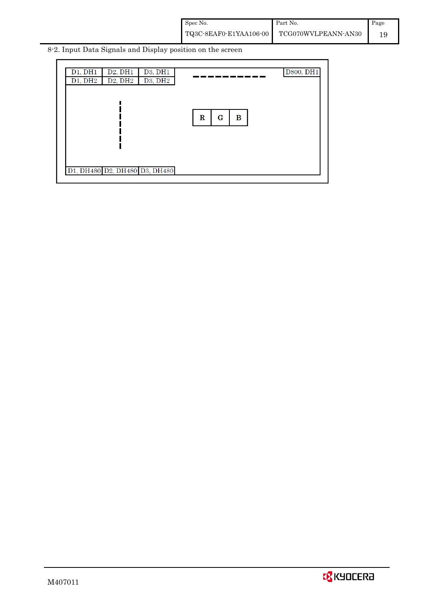| Spec No.               | Part No.            | Page |
|------------------------|---------------------|------|
| TQ3C-8EAF0-E1YAA106-00 | TCG070WVLPEANN-AN30 |      |

8-2. Input Data Signals and Display position on the screen

| D1, DH1<br>D1, DH2            | D2, DH1<br>D2, DH2 | D3, DH1<br>D3, DH2 |                       | D800, DH1 |
|-------------------------------|--------------------|--------------------|-----------------------|-----------|
|                               |                    |                    |                       |           |
|                               |                    |                    | $\mathbf R$<br>G<br>в |           |
|                               |                    |                    |                       |           |
|                               |                    |                    |                       |           |
| D1, DH480 D2, DH480 D3, DH480 |                    |                    |                       |           |

![](_page_21_Picture_3.jpeg)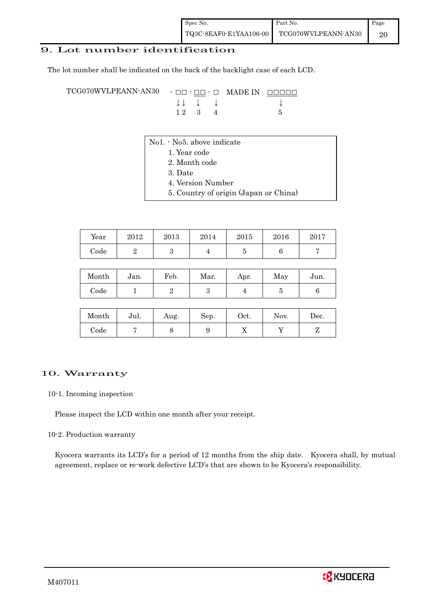## 9. Lot number identification

The lot number shall be indicated on the back of the backlight case of each LCD.

TCG070WVLPEANN-AN30 - □□ - □□ - □ MADE IN □□□□□ ↓ ↓ ↓ ↓ ↓  $12 \quad 3 \quad 4$  5

- No1. No5. above indicate
	- 1. Year code
		- 2. Month code
		- 3. Date
		- 4. Version Number
		- 5. Country of origin (Japan or China)

| Year | 2012 | 2013 | 2014 | 2015 | 2016 | 2017 |
|------|------|------|------|------|------|------|
| Code |      | ບ    |      |      |      |      |

| Month | Jan. | Feb. | Mar. | Apr. | May | Jun. |
|-------|------|------|------|------|-----|------|
| Code  |      |      |      |      |     |      |

| Month      | Jul. | Aug. | Sep. | Oct. | Nov. | Dec. |
|------------|------|------|------|------|------|------|
| $\rm Code$ |      |      |      | ∡⊾   |      |      |

### 10. Warranty

#### 10-1. Incoming inspection

Please inspect the LCD within one month after your receipt.

#### 10-2. Production warranty

 Kyocera warrants its LCD's for a period of 12 months from the ship date. Kyocera shall, by mutual agreement, replace or re-work defective LCD's that are shown to be Kyocera's responsibility.

![](_page_22_Picture_18.jpeg)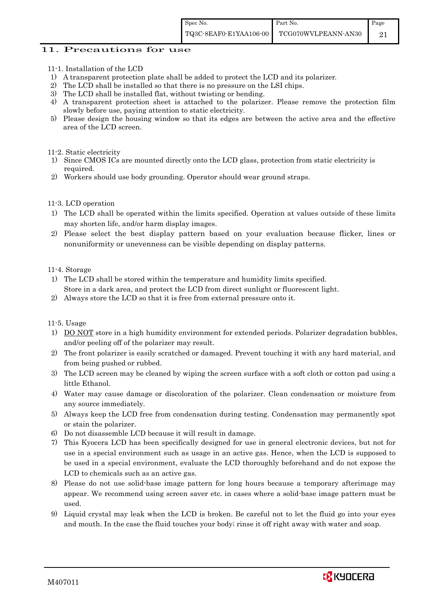### 11. Precautions for use

- 11-1. Installation of the LCD
- 1) A transparent protection plate shall be added to protect the LCD and its polarizer.
- 2) The LCD shall be installed so that there is no pressure on the LSI chips.
- 3) The LCD shall be installed flat, without twisting or bending.
- 4) A transparent protection sheet is attached to the polarizer. Please remove the protection film slowly before use, paying attention to static electricity.
- 5) Please design the housing window so that its edges are between the active area and the effective area of the LCD screen.

#### 11-2. Static electricity

- 1) Since CMOS ICs are mounted directly onto the LCD glass, protection from static electricity is required.
- 2) Workers should use body grounding. Operator should wear ground straps.

### 11-3. LCD operation

- 1) The LCD shall be operated within the limits specified. Operation at values outside of these limits may shorten life, and/or harm display images.
- 2) Please select the best display pattern based on your evaluation because flicker, lines or nonuniformity or unevenness can be visible depending on display patterns.

#### 11-4. Storage

- 1) The LCD shall be stored within the temperature and humidity limits specified. Store in a dark area, and protect the LCD from direct sunlight or fluorescent light.
- 2) Always store the LCD so that it is free from external pressure onto it.

### 11-5. Usage

- 1) DO NOT store in a high humidity environment for extended periods. Polarizer degradation bubbles, and/or peeling off of the polarizer may result.
- 2) The front polarizer is easily scratched or damaged. Prevent touching it with any hard material, and from being pushed or rubbed.
- 3) The LCD screen may be cleaned by wiping the screen surface with a soft cloth or cotton pad using a little Ethanol.
- 4) Water may cause damage or discoloration of the polarizer. Clean condensation or moisture from any source immediately.
- 5) Always keep the LCD free from condensation during testing. Condensation may permanently spot or stain the polarizer.
- 6) Do not disassemble LCD because it will result in damage.
- 7) This Kyocera LCD has been specifically designed for use in general electronic devices, but not for use in a special environment such as usage in an active gas. Hence, when the LCD is supposed to be used in a special environment, evaluate the LCD thoroughly beforehand and do not expose the LCD to chemicals such as an active gas.
- 8) Please do not use solid-base image pattern for long hours because a temporary afterimage may appear. We recommend using screen saver etc. in cases where a solid-base image pattern must be used.
- 9) Liquid crystal may leak when the LCD is broken. Be careful not to let the fluid go into your eyes and mouth. In the case the fluid touches your body; rinse it off right away with water and soap.

![](_page_23_Picture_27.jpeg)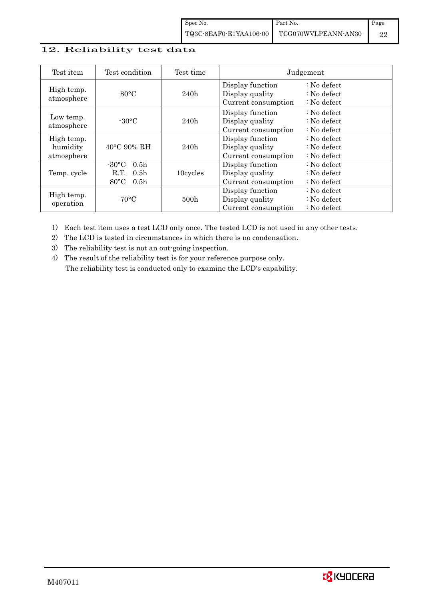## 12. Reliability test data

| Test item                            | Test condition                                                                                        | Test time |                                                            | Judgement                                                                  |
|--------------------------------------|-------------------------------------------------------------------------------------------------------|-----------|------------------------------------------------------------|----------------------------------------------------------------------------|
| High temp.<br>atmosphere             | $80^{\circ}$ C                                                                                        | 240h      | Display function<br>Display quality<br>Current consumption | $\therefore$ No defect<br>$\therefore$ No defect<br>$\therefore$ No defect |
| Low temp.<br>atmosphere              | $-30$ °C                                                                                              | 240h      | Display function<br>Display quality<br>Current consumption | $\therefore$ No defect<br>: No defect<br>$\therefore$ No defect            |
| High temp.<br>humidity<br>atmosphere | $40^{\circ}$ C 90% RH                                                                                 | 240h      | Display function<br>Display quality<br>Current consumption | : No defect<br>$\therefore$ No defect<br>$\therefore$ No defect            |
| Temp. cycle                          | $-30^{\circ}$ C<br>0.5 <sub>h</sub><br>0.5 <sub>h</sub><br>R.T.<br>$80^{\circ}$ C<br>0.5 <sub>h</sub> | 10cycles  | Display function<br>Display quality<br>Current consumption | $\therefore$ No defect<br>$\therefore$ No defect<br>$\therefore$ No defect |
| High temp.<br>operation              | $70^{\circ}$ C                                                                                        | 500h      | Display function<br>Display quality<br>Current consumption | : No defect<br>$\therefore$ No defect<br>$\therefore$ No defect            |

1) Each test item uses a test LCD only once. The tested LCD is not used in any other tests.

2) The LCD is tested in circumstances in which there is no condensation.

3) The reliability test is not an out-going inspection.

4) The result of the reliability test is for your reference purpose only. The reliability test is conducted only to examine the LCD's capability.

![](_page_24_Picture_7.jpeg)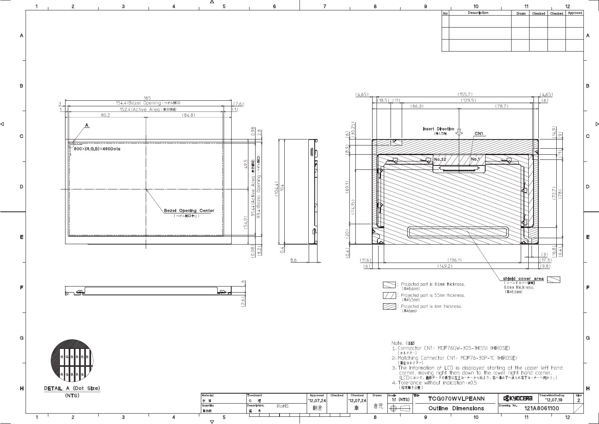![](_page_25_Figure_0.jpeg)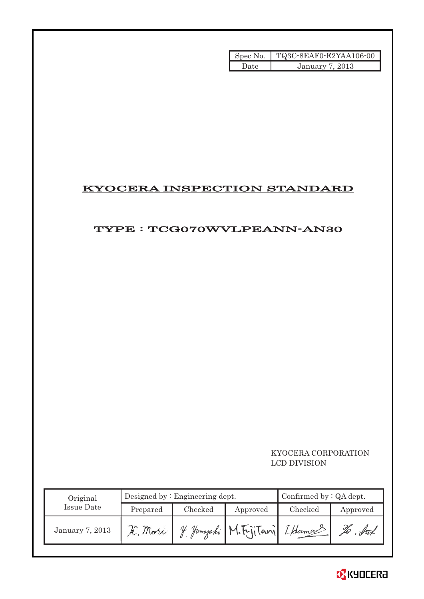|      | Spec No. TQ3C-8EAF0-E2YAA106-00 |
|------|---------------------------------|
| Date | January 7, 2013                 |

# KYOCERA INSPECTION STANDARD

# TYPE : TCG070WVLPEANN-AN30

## KYOCERA CORPORATION LCD DIVISION

| Original        |          | Designed by $:$ Engineering dept. | Confirmed by $:QA$ dept.      |         |                    |
|-----------------|----------|-----------------------------------|-------------------------------|---------|--------------------|
| Issue Date      | Prepared | Checked                           | Approved                      | Checked | Approved           |
| January 7, 2013 | K. Mori  |                                   | 4 Jamaraki M.FriiTani LHamaus |         | $\sqrt{4\pi}$<br>Ű |

![](_page_26_Picture_5.jpeg)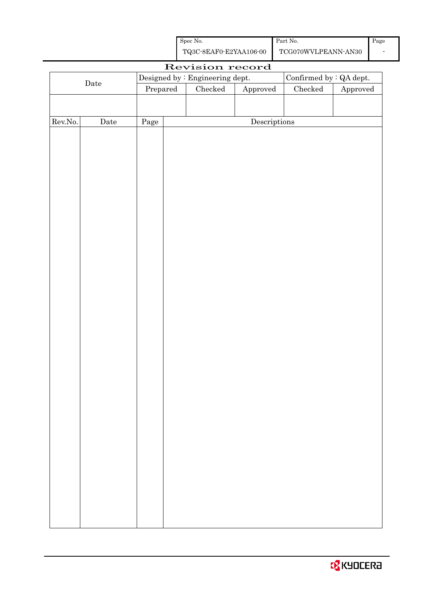| Spec No.               | Part No.            | Page |
|------------------------|---------------------|------|
| TQ3C-8EAF0-E2YAA106-00 | TCG070WVLPEANN-AN30 |      |

| Revision record |             |                                 |  |               |                        |               |                          |  |  |
|-----------------|-------------|---------------------------------|--|---------------|------------------------|---------------|--------------------------|--|--|
|                 |             | Designed by : Engineering dept. |  |               |                        |               | Confirmed by $:QA$ dept. |  |  |
| $\rm{Date}$     |             | Prepared                        |  | $\rm Checked$ | ${\Large\bf Approved}$ | $\rm Checked$ | Approved                 |  |  |
|                 |             |                                 |  |               |                        |               |                          |  |  |
|                 |             |                                 |  |               |                        |               |                          |  |  |
| Rev.No.         | $\rm{Date}$ | Page                            |  |               | Descriptions           |               |                          |  |  |
|                 |             |                                 |  |               |                        |               |                          |  |  |
|                 |             |                                 |  |               |                        |               |                          |  |  |
|                 |             |                                 |  |               |                        |               |                          |  |  |
|                 |             |                                 |  |               |                        |               |                          |  |  |
|                 |             |                                 |  |               |                        |               |                          |  |  |
|                 |             |                                 |  |               |                        |               |                          |  |  |
|                 |             |                                 |  |               |                        |               |                          |  |  |
|                 |             |                                 |  |               |                        |               |                          |  |  |
|                 |             |                                 |  |               |                        |               |                          |  |  |
|                 |             |                                 |  |               |                        |               |                          |  |  |
|                 |             |                                 |  |               |                        |               |                          |  |  |
|                 |             |                                 |  |               |                        |               |                          |  |  |
|                 |             |                                 |  |               |                        |               |                          |  |  |
|                 |             |                                 |  |               |                        |               |                          |  |  |
|                 |             |                                 |  |               |                        |               |                          |  |  |
|                 |             |                                 |  |               |                        |               |                          |  |  |
|                 |             |                                 |  |               |                        |               |                          |  |  |
|                 |             |                                 |  |               |                        |               |                          |  |  |
|                 |             |                                 |  |               |                        |               |                          |  |  |
|                 |             |                                 |  |               |                        |               |                          |  |  |
|                 |             |                                 |  |               |                        |               |                          |  |  |
|                 |             |                                 |  |               |                        |               |                          |  |  |
|                 |             |                                 |  |               |                        |               |                          |  |  |
|                 |             |                                 |  |               |                        |               |                          |  |  |
|                 |             |                                 |  |               |                        |               |                          |  |  |
|                 |             |                                 |  |               |                        |               |                          |  |  |
|                 |             |                                 |  |               |                        |               |                          |  |  |
|                 |             |                                 |  |               |                        |               |                          |  |  |
|                 |             |                                 |  |               |                        |               |                          |  |  |
|                 |             |                                 |  |               |                        |               |                          |  |  |
|                 |             |                                 |  |               |                        |               |                          |  |  |
|                 |             |                                 |  |               |                        |               |                          |  |  |
|                 |             |                                 |  |               |                        |               |                          |  |  |
|                 |             |                                 |  |               |                        |               |                          |  |  |
|                 |             |                                 |  |               |                        |               |                          |  |  |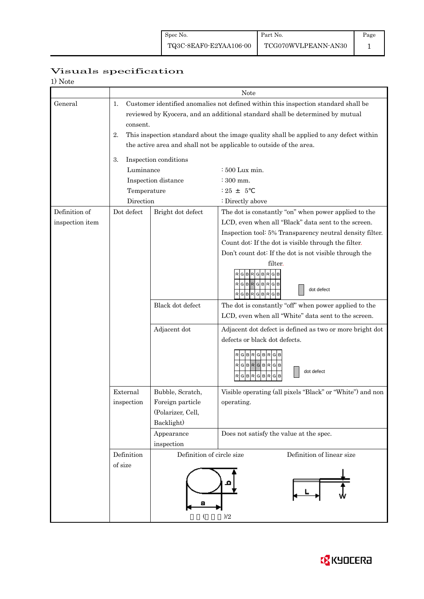Page 1

# Visuals specification

| 1) Note |
|---------|
|---------|

|                 | Note                                                                                                                                                                                  |                                                                                                                                                               |                                                                                                                  |  |  |  |  |  |
|-----------------|---------------------------------------------------------------------------------------------------------------------------------------------------------------------------------------|---------------------------------------------------------------------------------------------------------------------------------------------------------------|------------------------------------------------------------------------------------------------------------------|--|--|--|--|--|
| General         | 1.<br>Customer identified anomalies not defined within this inspection standard shall be<br>reviewed by Kyocera, and an additional standard shall be determined by mutual<br>consent. |                                                                                                                                                               |                                                                                                                  |  |  |  |  |  |
|                 | 2.                                                                                                                                                                                    | This inspection standard about the image quality shall be applied to any defect within<br>the active area and shall not be applicable to outside of the area. |                                                                                                                  |  |  |  |  |  |
|                 |                                                                                                                                                                                       |                                                                                                                                                               |                                                                                                                  |  |  |  |  |  |
|                 | Inspection conditions<br>3.                                                                                                                                                           |                                                                                                                                                               |                                                                                                                  |  |  |  |  |  |
|                 | Luminance                                                                                                                                                                             |                                                                                                                                                               | : 500 Lux min.                                                                                                   |  |  |  |  |  |
|                 |                                                                                                                                                                                       | Inspection distance                                                                                                                                           | $\div$ 300 mm.                                                                                                   |  |  |  |  |  |
|                 | Temperature                                                                                                                                                                           |                                                                                                                                                               | $: 25 + 5$                                                                                                       |  |  |  |  |  |
|                 | Direction                                                                                                                                                                             |                                                                                                                                                               | : Directly above                                                                                                 |  |  |  |  |  |
| Definition of   | Dot defect                                                                                                                                                                            | Bright dot defect                                                                                                                                             | The dot is constantly "on" when power applied to the                                                             |  |  |  |  |  |
| inspection item |                                                                                                                                                                                       |                                                                                                                                                               | LCD, even when all "Black" data sent to the screen.                                                              |  |  |  |  |  |
|                 |                                                                                                                                                                                       |                                                                                                                                                               | Inspection tool: 5% Transparency neutral density filter.<br>Count dot: If the dot is visible through the filter. |  |  |  |  |  |
|                 |                                                                                                                                                                                       |                                                                                                                                                               | Don't count dot: If the dot is not visible through the                                                           |  |  |  |  |  |
|                 |                                                                                                                                                                                       |                                                                                                                                                               | filter.                                                                                                          |  |  |  |  |  |
|                 |                                                                                                                                                                                       |                                                                                                                                                               | GBRGBRG<br>RGBR<br>GIBI<br>R<br>dot defect<br>RGBRGB<br>R                                                        |  |  |  |  |  |
|                 |                                                                                                                                                                                       | Black dot defect                                                                                                                                              | The dot is constantly "off" when power applied to the<br>LCD, even when all "White" data sent to the screen.     |  |  |  |  |  |
|                 |                                                                                                                                                                                       | ${\bf Adjacent\ dot}$                                                                                                                                         | Adjacent dot defect is defined as two or more bright dot                                                         |  |  |  |  |  |
|                 |                                                                                                                                                                                       |                                                                                                                                                               | defects or black dot defects.                                                                                    |  |  |  |  |  |
|                 |                                                                                                                                                                                       |                                                                                                                                                               | RGBRGBR<br>$RGBRGBRGB$<br>dot defect<br><b>BR</b><br>G<br>G<br>R<br>B<br>R<br>G                                  |  |  |  |  |  |
|                 | External                                                                                                                                                                              | Bubble, Scratch,                                                                                                                                              | Visible operating (all pixels "Black" or "White") and non                                                        |  |  |  |  |  |
|                 | inspection                                                                                                                                                                            | Foreign particle                                                                                                                                              | operating.                                                                                                       |  |  |  |  |  |
|                 |                                                                                                                                                                                       | (Polarizer, Cell,                                                                                                                                             |                                                                                                                  |  |  |  |  |  |
|                 |                                                                                                                                                                                       | Backlight)                                                                                                                                                    |                                                                                                                  |  |  |  |  |  |
|                 |                                                                                                                                                                                       | Appearance                                                                                                                                                    | Does not satisfy the value at the spec.                                                                          |  |  |  |  |  |
|                 |                                                                                                                                                                                       | inspection                                                                                                                                                    |                                                                                                                  |  |  |  |  |  |
|                 | Definition                                                                                                                                                                            | Definition of circle size<br>Definition of linear size                                                                                                        |                                                                                                                  |  |  |  |  |  |
|                 | of size                                                                                                                                                                               |                                                                                                                                                               |                                                                                                                  |  |  |  |  |  |
|                 |                                                                                                                                                                                       |                                                                                                                                                               | $)/2$                                                                                                            |  |  |  |  |  |

![](_page_28_Picture_6.jpeg)